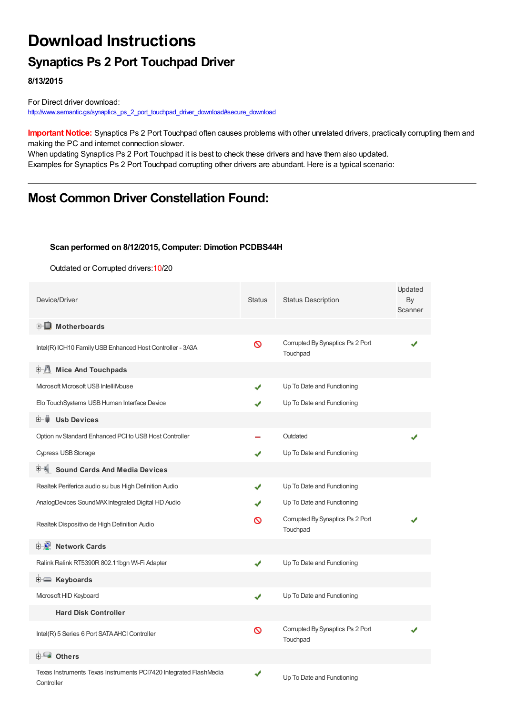## **Download Instructions**

## **Synaptics Ps 2 Port Touchpad Driver**

**8/13/2015**

For Direct driver download: [http://www.semantic.gs/synaptics\\_ps\\_2\\_port\\_touchpad\\_driver\\_download#secure\\_download](http://www.semantic.gs/synaptics_ps_2_port_touchpad_driver_download#secure_download)

**Important Notice:** Synaptics Ps 2 Port Touchpad often causes problems with other unrelated drivers, practically corrupting them and making the PC and internet connection slower.

When updating Synaptics Ps 2 Port Touchpad it is best to check these drivers and have them also updated. Examples for Synaptics Ps 2 Port Touchpad corrupting other drivers are abundant. Here is a typical scenario:

## **Most Common Driver Constellation Found:**

#### **Scan performed on 8/12/2015, Computer: Dimotion PCDBS44H**

Outdated or Corrupted drivers:10/20

| Device/Driver                                                                   | <b>Status</b> | <b>Status Description</b>                    | Updated<br>By<br>Scanner |
|---------------------------------------------------------------------------------|---------------|----------------------------------------------|--------------------------|
| <b>E</b> Motherboards                                                           |               |                                              |                          |
| Intel(R) ICH10 Family USB Enhanced Host Controller - 3A3A                       | Ø             | Corrupted By Synaptics Ps 2 Port<br>Touchpad |                          |
| <b>E</b> Mice And Touchpads                                                     |               |                                              |                          |
| Microsoft Microsoft USB IntelliMouse                                            | J             | Up To Date and Functioning                   |                          |
| Elo TouchSystems USB Human Interface Device                                     |               | Up To Date and Functioning                   |                          |
| ⊞∾Ų<br><b>Usb Devices</b>                                                       |               |                                              |                          |
| Option nv Standard Enhanced PCI to USB Host Controller                          |               | Outdated                                     |                          |
| <b>Cypress USB Storage</b>                                                      | ✔             | Up To Date and Functioning                   |                          |
| <b>Sound Cards And Media Devices</b>                                            |               |                                              |                          |
| Realtek Periferica audio su bus High Definition Audio                           | ✔             | Up To Date and Functioning                   |                          |
| AnalogDevices SoundMAX Integrated Digital HD Audio                              | ✔             | Up To Date and Functioning                   |                          |
| Realtek Dispositivo de High Definition Audio                                    | ၹ             | Corrupted By Synaptics Ps 2 Port<br>Touchpad |                          |
| <b>D</b> Network Cards                                                          |               |                                              |                          |
| Ralink Ralink RT5390R 802.11bgn Wi-Fi Adapter                                   | ✔             | Up To Date and Functioning                   |                          |
| E Keyboards                                                                     |               |                                              |                          |
| Microsoft HID Keyboard                                                          | ✔             | Up To Date and Functioning                   |                          |
| <b>Hard Disk Controller</b>                                                     |               |                                              |                          |
| Intel(R) 5 Series 6 Port SATA AHCI Controller                                   | Ø             | Corrupted By Synaptics Ps 2 Port<br>Touchpad |                          |
| <b>E</b> Others                                                                 |               |                                              |                          |
| Texas Instruments Texas Instruments PCI7420 Integrated FlashMedia<br>Controller | ✔             | Up To Date and Functioning                   |                          |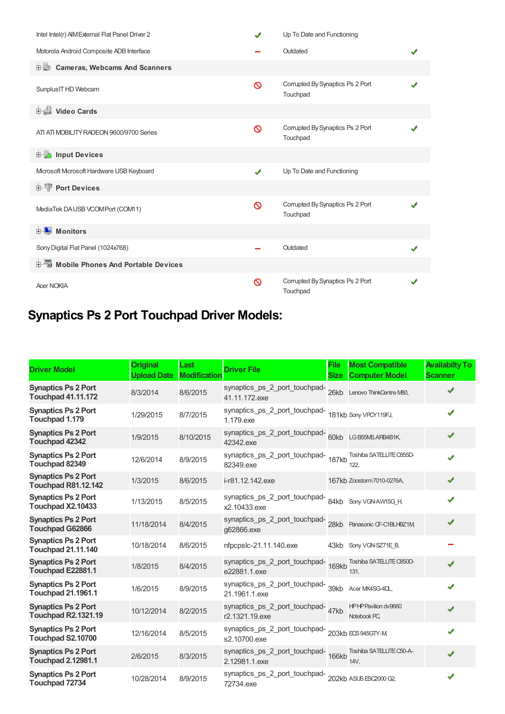| Intel Intel(r) AIM External Flat Panel Driver 2 | ✔        | Up To Date and Functioning                   |  |
|-------------------------------------------------|----------|----------------------------------------------|--|
| Motorola Android Composite ADB Interface        |          | Outdated                                     |  |
| <b>Demandal Cameras, Webcams And Scanners</b>   |          |                                              |  |
| Sunplus IT HD Webcam                            | $\infty$ | Corrupted By Synaptics Ps 2 Port<br>Touchpad |  |
| <b>Digital Video Cards</b>                      |          |                                              |  |
| ATI ATI MOBILITY RADEON 9600/9700 Series        | Ø        | Corrupted By Synaptics Ps 2 Port<br>Touchpad |  |
| <b>Devices</b> Input Devices                    |          |                                              |  |
| Microsoft Microsoft Hardware USB Keyboard       | ✔        | Up To Date and Functioning                   |  |
| <b>E-</b> Port Devices                          |          |                                              |  |
| MediaTek DAUSB VCOMPort (COM11)                 | ଷ        | Corrupted By Synaptics Ps 2 Port<br>Touchpad |  |
| <b>E</b> Monitors                               |          |                                              |  |
| Sony Digital Flat Panel (1024x768)              |          | Outdated                                     |  |
| 白面 Mobile Phones And Portable Devices           |          |                                              |  |
| <b>Acer NOKIA</b>                               | $\infty$ | Corrupted By Synaptics Ps 2 Port<br>Touchpad |  |

# **Synaptics Ps 2 Port Touchpad Driver Models:**

| <b>Driver Model</b>                                      | <b>Original</b><br><b>Upload Date</b> | Last<br><b>Modification</b> | <b>Driver File</b>                                                   | <b>File</b><br><b>Size</b> | <b>Most Compatible</b><br><b>Computer Model</b> | <b>Availabilty To</b><br><b>Scanner</b> |
|----------------------------------------------------------|---------------------------------------|-----------------------------|----------------------------------------------------------------------|----------------------------|-------------------------------------------------|-----------------------------------------|
| <b>Synaptics Ps 2 Port</b><br><b>Touchpad 41.11.172</b>  | 8/3/2014                              | 8/6/2015                    | synaptics_ps_2_port_touchpad-<br>41.11.172.exe                       |                            | 26kb Lenovo ThinkCentre M80,                    |                                         |
| <b>Synaptics Ps 2 Port</b><br>Touchpad 1.179             | 1/29/2015                             | 8/7/2015                    | synaptics_ps_2_port_touchpad-<br>1.179.exe                           |                            | 181kb Sony VPCY119FJ,                           | ✔                                       |
| <b>Synaptics Ps 2 Port</b><br><b>Touchpad 42342</b>      | 1/9/2015                              | 8/10/2015                   | synaptics_ps_2_port_touchpad-<br>60kb LGB55MS.ARB4B1K,<br>42342.exe  |                            |                                                 | ✔                                       |
| <b>Synaptics Ps 2 Port</b><br>Touchpad 82349             | 12/6/2014                             | 8/9/2015                    | synaptics_ps_2_port_touchpad-<br>187kb<br>82349.exe                  |                            | Toshiba SATELLITE C855D-<br>122.                | ✔                                       |
| <b>Synaptics Ps 2 Port</b><br><b>Touchpad R81.12.142</b> | 1/3/2015                              | 8/6/2015                    | i-r81.12.142.exe                                                     |                            | 167kb Zoostorm 7010-0276A,                      | ✔                                       |
| <b>Synaptics Ps 2 Port</b><br>Touchpad X2.10433          | 1/13/2015                             | 8/5/2015                    | synaptics_ps_2_port_touchpad-<br>x2.10433.exe                        |                            | 84kb Sony VGN-AW15G_H,                          | ✔                                       |
| <b>Synaptics Ps 2 Port</b><br><b>Touchpad G62866</b>     | 11/18/2014                            | 8/4/2015                    | synaptics_ps_2_port_touchpad-<br>g62866.exe                          |                            | 28kb Panasonic CF-C1BLHBZ1M,                    | ✔                                       |
| <b>Synaptics Ps 2 Port</b><br><b>Touchpad 21.11.140</b>  | 10/18/2014                            | 8/6/2015                    | nfpcpslc-21.11.140.exe                                               | 43kb                       | Sony VGN-SZ71E B,                               |                                         |
| <b>Synaptics Ps 2 Port</b><br>Touchpad E22881.1          | 1/8/2015                              | 8/4/2015                    | synaptics_ps_2_port_touchpad-<br>169kb<br>e22881.1.exe               |                            | Toshiba SATELLITE C850D-<br>131.                | J                                       |
| <b>Synaptics Ps 2 Port</b><br><b>Touchpad 21.1961.1</b>  | 1/6/2015                              | 8/9/2015                    | synaptics_ps_2_port_touchpad-<br>39kb<br>21.1961.1.exe               |                            | Acer MX4SG-4DL.                                 | ✔                                       |
| <b>Synaptics Ps 2 Port</b><br><b>Touchpad R2.1321.19</b> | 10/12/2014                            | 8/2/2015                    | synaptics_ps_2_port_touchpad-47kb<br>r2.1321.19.exe                  |                            | HPHP Pavilion dv9660<br>Notebook PC,            | J                                       |
| <b>Synaptics Ps 2 Port</b><br>Touchpad S2.10700          | 12/16/2014                            | 8/5/2015                    | synaptics_ps_2_port_touchpad-<br>203kb ECS 945GTY-M<br>s2.10700.exe  |                            |                                                 | ✔                                       |
| <b>Synaptics Ps 2 Port</b><br><b>Touchpad 2.12981.1</b>  | 2/6/2015                              | 8/3/2015                    | synaptics_ps_2_port_touchpad-<br>166kb<br>2.12981.1.exe              |                            | Toshiba SATELLITE C50-A-<br>14V.                | ✔                                       |
| <b>Synaptics Ps 2 Port</b><br>Touchpad 72734             | 10/28/2014                            | 8/9/2015                    | synaptics_ps_2_port_touchpad-<br>202kb ASUS ESC2000 G2,<br>72734.exe |                            |                                                 | ✔                                       |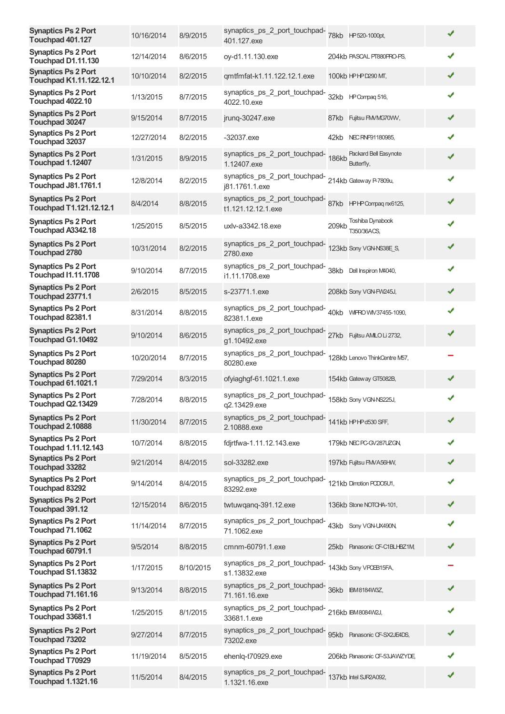| <b>Synaptics Ps 2 Port</b><br>Touchpad 401.127            | 10/16/2014 | 8/9/2015  | synaptics_ps_2_port_touchpad-78kb HP520-1000pt,<br>401.127.exe             |       |                                     | ✔            |
|-----------------------------------------------------------|------------|-----------|----------------------------------------------------------------------------|-------|-------------------------------------|--------------|
| <b>Synaptics Ps 2 Port</b><br>Touchpad D1.11.130          | 12/14/2014 | 8/6/2015  | oy-d1.11.130.exe                                                           |       | 204kb PASCAL PT880PRO-PS,           | ✔            |
| <b>Synaptics Ps 2 Port</b><br>Touchpad K1.11.122.12.1     | 10/10/2014 | 8/2/2015  | qmtfmfat-k1.11.122.12.1.exe                                                |       | 100kb HPHPD290 MT,                  | ✔            |
| <b>Synaptics Ps 2 Port</b><br>Touchpad 4022.10            | 1/13/2015  | 8/7/2015  | synaptics_ps_2_port_touchpad-<br>4022.10.exe                               |       | 32kb HP Compaq 516,                 | ✔            |
| <b>Synaptics Ps 2 Port</b><br>Touchpad 30247              | 9/15/2014  | 8/7/2015  | jrung-30247.exe                                                            | 87kb  | Fujitsu FM/MG70WV,                  | ✔            |
| <b>Synaptics Ps 2 Port</b><br>Touchpad 32037              | 12/27/2014 | 8/2/2015  | $-32037$ .exe                                                              |       | 42kb NEC RNF91180985.               | ✔            |
| <b>Synaptics Ps 2 Port</b><br>Touchpad 1.12407            | 1/31/2015  | 8/9/2015  | synaptics_ps_2_port_touchpad-<br>186kb<br>1.12407.exe                      |       | Packard Bell Easynote<br>Butterfly, | ✔            |
| <b>Synaptics Ps 2 Port</b><br><b>Touchpad J81.1761.1</b>  | 12/8/2014  | 8/2/2015  | synaptics_ps_2_port_touchpad-<br>214kb Gateway P-7809u,<br>j81.1761.1.exe  |       |                                     | J            |
| <b>Synaptics Ps 2 Port</b><br>Touchpad T1.121.12.12.1     | 8/4/2014   | 8/8/2015  | synaptics_ps_2_port_touchpad-<br>t1.121.12.12.1.exe                        |       | 87kb HPHP Compaq nx6125,            | ✔            |
| <b>Synaptics Ps 2 Port</b><br>Touchpad A3342.18           | 1/25/2015  | 8/5/2015  | uxlv-a3342.18.exe                                                          | 209kb | Toshiba Dynabook<br>T350/36ACS.     | ✔            |
| <b>Synaptics Ps 2 Port</b><br><b>Touchpad 2780</b>        | 10/31/2014 | 8/2/2015  | synaptics_ps_2_port_touchpad-<br>2780.exe                                  |       | 123kb Sony VGN-NS38E S,             | ✔            |
| <b>Synaptics Ps 2 Port</b><br><b>Touchpad I1.11.1708</b>  | 9/10/2014  | 8/7/2015  | synaptics_ps_2_port_touchpad-<br>i1.11.1708.exe                            |       | 38kb Dell Inspiron M4040,           | $\checkmark$ |
| <b>Synaptics Ps 2 Port</b><br>Touchpad 23771.1            | 2/6/2015   | 8/5/2015  | s-23771.1.exe                                                              |       | 208kb Sony VGN-FW245J,              | ✔            |
| <b>Synaptics Ps 2 Port</b><br>Touchpad 82381.1            | 8/31/2014  | 8/8/2015  | synaptics_ps_2_port_touchpad-<br>82381.1.exe                               |       | 40kb WIFRO WIV37455-1090,           | ✔            |
| <b>Synaptics Ps 2 Port</b><br>Touchpad G1.10492           | 9/10/2014  | 8/6/2015  | synaptics_ps_2_port_touchpad-<br>27kb Fujitsu AMLOLi 2732,<br>g1.10492.exe |       |                                     | ✔            |
| <b>Synaptics Ps 2 Port</b><br>Touchpad 80280              | 10/20/2014 | 8/7/2015  | synaptics_ps_2_port_touchpad-<br>80280.exe                                 |       | 128kb Lenovo ThinkCentre M57,       |              |
| <b>Synaptics Ps 2 Port</b><br><b>Touchpad 61.1021.1</b>   | 7/29/2014  | 8/3/2015  | ofyiaghgf-61.1021.1.exe                                                    |       | 154kb Gateway GT5082B,              | ✔            |
| <b>Synaptics Ps 2 Port</b><br>Touchpad Q2.13429           | 7/28/2014  | 8/8/2015  | synaptics_ps_2_port_touchpad-<br>q2.13429.exe                              |       | 158kb Sony VGN-NS225J,              | ✔            |
| <b>Synaptics Ps 2 Port</b><br>Touchpad 2.10888            | 11/30/2014 | 8/7/2015  | synaptics_ps_2_port_touchpad-<br>141kb HPHPd530 SFF,<br>2.10888.exe        |       |                                     | ✔            |
| <b>Synaptics Ps 2 Port</b><br><b>Touchpad 1.11.12.143</b> | 10/7/2014  | 8/8/2015  | fdjrtfwa-1.11.12.143.exe                                                   |       | 179kb NEC PC-GV287UZGN,             | ✔            |
| <b>Synaptics Ps 2 Port</b><br>Touchpad 33282              | 9/21/2014  | 8/4/2015  | sol-33282.exe                                                              |       | 197kb Fujitsu FMVA56HW,             | ✔            |
| <b>Synaptics Ps 2 Port</b><br>Touchpad 83292              | 9/14/2014  | 8/4/2015  | synaptics_ps_2_port_touchpad-<br>83292.exe                                 |       | 121kb Dimotion PODO5U1,             | ✔            |
| <b>Synaptics Ps 2 Port</b><br>Touchpad 391.12             | 12/15/2014 | 8/6/2015  | twtuwqanq-391.12.exe                                                       |       | 136kb Stone NOTCHA-101,             | ✔            |
| <b>Synaptics Ps 2 Port</b><br>Touchpad 71.1062            | 11/14/2014 | 8/7/2015  | synaptics_ps_2_port_touchpad-<br>71.1062.exe                               |       | 43kb Sony VGN-UX490N,               | ✔            |
| <b>Synaptics Ps 2 Port</b><br>Touchpad 60791.1            | 9/5/2014   | 8/8/2015  | cmnm-60791.1.exe                                                           |       | 25kb Panasonic CF-C1BLHBZ1M,        |              |
| <b>Synaptics Ps 2 Port</b><br>Touchpad S1.13832           | 1/17/2015  | 8/10/2015 | synaptics_ps_2_port_touchpad-<br>s1.13832.exe                              |       | 143kb Sony VPOEB15FA,               |              |
| <b>Synaptics Ps 2 Port</b><br><b>Touchpad 71.161.16</b>   | 9/13/2014  | 8/8/2015  | synaptics_ps_2_port_touchpad-<br>36kb BM8184W3Z,<br>71.161.16.exe          |       |                                     | ✔            |
| <b>Synaptics Ps 2 Port</b><br>Touchpad 33681.1            | 1/25/2015  | 8/1/2015  | synaptics_ps_2_port_touchpad-<br>216kb IBM8084W2J,<br>33681.1.exe          |       |                                     | ✔            |
| <b>Synaptics Ps 2 Port</b><br>Touchpad 73202              | 9/27/2014  | 8/7/2015  | synaptics_ps_2_port_touchpad-<br>73202.exe                                 |       | 95kb Panasonic CF-SX2JE4DS,         | ✔            |
| <b>Synaptics Ps 2 Port</b><br><b>Touchpad T70929</b>      | 11/19/2014 | 8/5/2015  | ehenlq-t70929.exe                                                          |       | 206kb Panasonic CF-53JAWZYDE,       | ✔            |
| <b>Synaptics Ps 2 Port</b><br><b>Touchpad 1.1321.16</b>   | 11/5/2014  | 8/4/2015  | synaptics_ps_2_port_touchpad-<br>1.1321.16.exe                             |       | 137kb Intel SJR2A092,               | ✔            |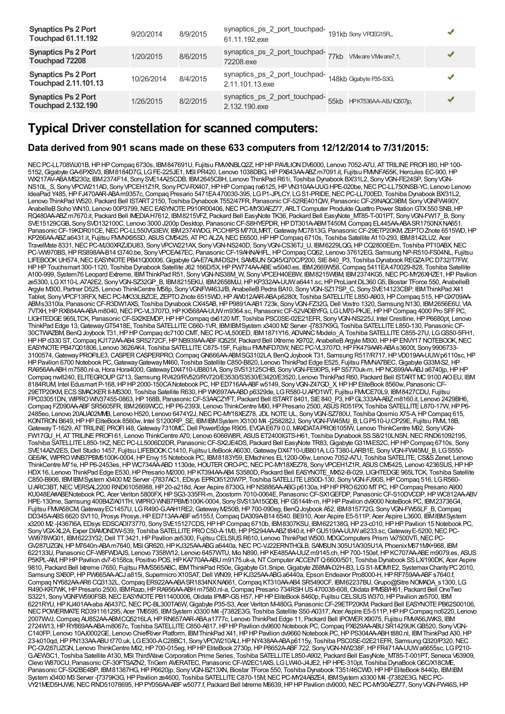| <b>Synaptics Ps 2 Port</b><br><b>Touchpad 61.11.192</b>   | 9/20/2014  | 8/9/2015 | synaptics_ps_2_port_touchpad-<br>61.11.192.exe                  | 191kb Sony VPCEG15FL,       |  |
|-----------------------------------------------------------|------------|----------|-----------------------------------------------------------------|-----------------------------|--|
| <b>Synaptics Ps 2 Port</b><br>Touchpad 72208              | 1/20/2015  | 8/6/2015 | synaptics_ps_2_port_touchpad-77kb VMwareVMware7,1,<br>72208.exe |                             |  |
| <b>Synaptics Ps 2 Port</b><br><b>Touchpad 2.11.101.13</b> | 10/26/2014 | 8/4/2015 | synaptics_ps_2_port_touchpad-<br>2.11.101.13.exe                | 148kb Gigabyte P35-S3G.     |  |
| <b>Synaptics Ps 2 Port</b><br><b>Touchpad 2.132.190</b>   | 1/26/2015  | 8/2/2015 | synaptics_ps_2_port_touchpad-<br>2.132.190.exe                  | 55kb HPKT536AA-ABJ IQ507jp, |  |

### **Typical Driver constellation for scanned computers:**

#### **Data derived from 901 scans made on these 633 computers from 12/12/2014 to 7/31/2015:**

NEC PC-LL708WJ01B, HP HP Compaq 6730s, IBM847691U, Fujitsu FMXNBLQ2Z, HP HP PAVILION DV6000, Lenovo 7052-A7U, AT TRILINE PROFI I80, HP 100-5152,GigabyteGA-6PXSV3, IBM8184D7G, LGFE-225JE1, MSI PR420, Lenovo 1038DBG,HPPX643AA-ABZm7091.it, Fujitsu FMVNFA55K,Hercules EC-900,HP WX217AV-ABAMS230z, IBM2374F14, SonySVE14A25CDB, IBM2645CBH, Lenovo ThinkPad R61i, Toshiba Dynabook BX/31L2, SonyVGN-FE24SP, SonyVGN-NS10L\_S, Sony VPCW211AD, Sony VPCEH1Z1R, Sony PCV-RX407, HP HP Compaq nx6125, HP VN310AA-UUG HPE-020be, NEC PC-LL750NSB-YC, Lenovo Lenovo IdeaPad Y485, HP FJ470AAR-ABAm9357c, Compaq Presario 5471EA470030-395, LG P1-JPLCY, LG S1-PRIDE, NEC PC-LL700ED, Toshiba Dynabook BX/31L2, Lenovo ThinkPad W520, Packard Bell ISTART2150, Toshiba Dynabook T552/47FR, PanasonicCF-52RE401QW, PanasonicCF-29NAQC9BM, SonyVGNFW490Y, AnabelleBSoho WN10, Lenovo 00P3799,NECEASYNOTEP910R00406,NECPC-MY30AEZ77, ARLTComputer ProdukteQuattro Power StationGTX550 SNB,HP RQ480AA-ABZ m7670.it, Packard Bell IMEDIA H7612, IBM8215VFZ, Packard Bell EasyNote TK36, Packard Bell EasyNote\_MT85-T-001PT, Sony VGN-FW17\_B, Sony SVE15129CGB, Sony SVD132100C, Lenovo 3000 J200p Desktop, Panasonic CF-S8HYEPDR, HP DT301A-ABMT450M, Compaq EL445AA-ABA SR1750NX NA651 Panasonic CF-19KDR01CE, NEC PC-LL550VG3EW, IBM2374WDG, PCCHIPS M770LMRT, Gateway MC7813G, Panasonic CF-29ETP20KM, ZEPTO Znote 6515WD, HP KP266AA-ABZ a6431.it, Fujitsu FMMX95SD, ASUS CM5425, AT PC ALZA, NEC E6500, HP HP Compaq 6710s, Toshiba Satellite A110-293, IBM8142LU2, Acer TravelMate 8331, NEC PC-MJ30XRZJDU83, Sony VPCW221AX, Sony VGN-NS240D, Sony VGN-CS36TJ\_U, IBM6229LQG, HP CQ2800EEm, Toshiba PT10ABX, NEC PC-WW970BS, HP RS898AA-B14 t3740.be, Sony VPCEA47EC, Panasonic CF-19AHNAHFL, HP Compaq CQ62, Lenovo 37612EG, Samsung NP-R510-FS04NL, Fujitsu LIFEBOOK UH574, NEC EASYNOTE PB41Q00006, Gigabyte GA-E7AUM-DS2H, SAMSUN SQ45/Q70C/P200, SIE 840\_P3, Toshiba Dynabook REGZAPC D732/T7FW, HP HP Touchsmart 300-1120, Toshiba Dynabook Satellite J62 166D/5X, HP PW774AA-ABE w5040.es, IBM2669W58, Compaq 5411EA470029-828, Toshiba Satellite A100-999, System76 Leopard Extreme, IBMThinkPad R51, SonyVGN-NS38M\_W, SonyVPCEH40EBW, IBM8215WBM, IBM2374KG5,NECPC-MY26XHZE1,HPPavilion ze5300, LGX110-L.A7A2E2, SonyVGN-SZ32GP\_B, IBM8215EKU, IBM2658MJJ,HPKP332AA-UUWa6441.sc,HPProLiantDL360G5, Biostar TForce 550, AnabelleB Argyle M300, Partner D525, Lenovo ThinkCentre M58p, SonyVGNFW463J/B, AnabelleBPedra BA10, SonyVGN-SZ17SP\_C, SonySVE14123CBP, IBMThinkPad X41 Tablet, Sony VPCF13RFX, NEC PC-MK33LBZCE, ZEPTO Znote 6515WD, HP AW012AAR-ABA p6280t, Toshiba SATELLITE L850-A903, HP Compaq 515, HP GX709AA-ABMs3310la, Panasonic CF-R3DW1AXS, Toshiba Dynabook CX/45AB, HP P9891A-AB1 723k, Sony VGN-FZ32G, Dell Vostro 1320, Samsung N130, IBM2656E6U, VIA 7VTXH,HPRX884AA-ABAm8040,NECPC-VL3707D,HPKX568AA-UUWm9364.sc, PanasonicCF-52VADBYFG, LGLM70-PKJE,HPHPCompaq 4000 Pro SFFPC, LIGHTEDGE965LTCK, Panasonic CF-SX2KEMDP, HPHP Compaq dx6120 MT, Toshiba PSC0SE-02E21EFR, Sony VGN-NS225J, Intel Crestline, HP P6680pt, Lenovo ThinkPad Edge 13, Gateway GT5418E, Toshiba SATELLITE C660-1VR, IBM IBM System x3400 M2 Server -[7837K9G, Toshiba SATELLITE L850-130, Panasonic CF-30CTWAZBM, BenQJoybook T31,HPHPCompaq dc7100 CMT,NECPC-VL500ED, IBM1871Y16, ADVANC Modelo\_A, Toshiba SATELLITEC855-27U, LGGS50-5FH1, HPHPd330 ST,Compaq KJ172AA-AB4 SR5272CF,HPNB939AA-ABFIQ525f, Packard Bell IXtreme X9702, AnabelleBArgyle M300,HPHPENVY17 NOTEBOOK,NEC EASYNOTEPB47Q01806, Lenovo 3626AK4, Toshiba SATELLITEC875-15F, Fujitsu FMVNFD70W,NECPC-VL3707D,HPFK479AAR-ABAs3600t, Sony9906733- 3100574,GatewayPROFILE3,CASPERCASPERPRO,CompaqGN666AA-ABMSG3102LA, BenQJoybook T31, Samsung R517/R717,HPVD019AA-UUWp6110sc,HP HP Pavilion 6700 Notebook PC, Gateway Gateway M460, Toshiba Satellite C850-B820, Lenovo ThinkPad Edge E525, Fujitsu FMMA7BEC, Gigabyte G33M-S2, HP RA956AA-ABH m7580.nl-a, Hora Hora4000, GatewayDX4710-UB801A, Sony SVS13125CHB, Sony VGN-FE90PS, HP S5770uk-m, HP NC699AA-ABJ a6740jp, HP HP Compaq nw8240, ELITEGROUPG713, Samsung RV420/RV520/RV720/E3530/S3530/E3420/E3520, Lenovo ThinkPad R60, Packard Bell ISTARTMC9100 AIOEU, IBM 8184RUM, Intel Edusmart P-168,HPHP2000-150CANotebook PC,HPED716AA-ABFw5149, SonyVGN-Z47GD\_X,HPHPEliteBook 8560w, PanasonicCF-29ETP20KM, ECSSMACKERII-MS300, Toshiba Satellite R630,HP WK697AA-ABDp6329de, LGR580-U.APD1WT, Fujitsu FMVCE70L9, IBM8427CDU, Fujitsu FPC03051DN, WIPROWIV37455-0863,HP168B, PanasonicCF-53AACZYFT, Packard Bell ISTART8401, SIE840\_P3,HPGL333AA-ABZm8160.it, Lenovo 2429BH6, Compaq FZ090AA-ABF SR5605FR, IBM2669WCC, HP P6-2393l, Lenovo ThinkCentre M90, HP Presario 2500, ASUS R051PX, Toshiba SATELLITE L870-17W, HP P6-2485eo, Lenovo 20AUA02MMB, Lenovo H520, Lenovo 6474Y2J,NECPC-MY18XEZ78, JDL NOTEUL, SonyVGN-SZ780U, ToshibaQosmio X75-A,HPCompaq 615, KONTRONB649,HPHPEliteBook 8560w, Intel S1200RP\_SE, IBMIBMSystem X3100 M4 -[258282J, SonyVGN-FW45MJ\_B, LGP510-U.CP29E, Fujitsu FMVL18B, Gateway T-1629, ATTRILINE PROFI I48, Gateway 7310MC, Dell PowerEdge R905, EVGA E679 0.0, MAXDATA PRO6105IW, Lenovo ThinkCentre M92, Sony VGN-FW17GU\_H, AT TRILINE PROFI 61, Lenovo ThinkCentre A70, Lenovo 6066W8R, ASUS ET2400IGTS-H61, Toshiba Dynabook SS S8/210LNSN, NEC RND61092195, Toshiba SATELLITE L850-1KZ, NEC PC-LL5006D2DR, Panasonic CF-SX2JE4DS, Packard Bell EasyNote TR83, Gigabyte G31M-ES2C, HP HP Compaq 6710s, Sony SVE14A2V2ES, Dell Studio 1457, Fujitsu LIFEBOOK C1410, Fujitsu LifeBook A6030, GatewayDX4710-UB801A, LGT380-LARB1E, Sony VGN-FW45MJ\_B, LGS550-GE6AK, WIPROWNB7PBM5100K-0004,HPEnvy15 Notebook PC, IBM8183Y59, EMachines EL1200-06w, Lenovo 7052-A7U, Toshiba SATELITE,CS&SZenet, Lenovo ThinkCentre M71e, HP P6-2453es, HP WC734AA-ABD 1130de, HOUTER ORO-PC, NEC PC-MY18XEZ78, Sony VPCEH1Z1R, ASUS CM5425, Lenovo 4236SUS, HP HP HDX16, Lenovo ThinkPad Edge E530,HPPresario M2000,HPKT394AA-AB4 S3580D, Packard Bell EASYNOTE\_MX52-B-029, LIGHTEDGE965LTCK, Toshiba Satellite C850-B906, IBMIBMSystem x3400 M2 Server -[7837AC1, EDsys EPROI5120W7P, Toshiba SATELLITEL850D-130, SonyVGN-FJ90S,HPCompaq 516, LGR560- U.ARC3BT,NECVERSAL2200 RND61058988,HP20-a218d, Acer Aspire 8730G,HPNS886AA-ABGp6130a,HPHPPRO6200 MTPC,HPCompaq Presario A900 KU048EA#ABENotebook PC, Acer Veriton 5800FX, HP SG3-335FR-m, Zoostorm 7010-0064E, Panasonic CF-SX1GEFDP, Panasonic CF-S10DVCDP, HP WC812AA-ABV HPE-130me, Samsung 400B4Z/A01TH, WIPROWNB7PBM5100K-0004, SonySVS13A15GDB,HPG5144fr-m,HPHPPavilion dv9000 NoteBook PC, IBM23736G4, Fujitsu FMVA58CM, Gateway EC1457U, LG R490-G.AAH1RE2, Gateway M250B, HP 700-090eg, BenQ Joybook A52, IBM815772G, Sony VGN-FW55LF\_B, Compaq DD345A-ABS6620 SV110, Prosys Prosys, HP ED713AA-ABF w5155.f, Compaq DA309A-B14 6540. BE910, Acer Aspire E5-511P, Acer Aspire L3600, IBMIBM System x3200 M2 -[4367I6A, EDsys EDSCADI73770, SonySVE15127CDS,HPHPCompaq 6710b, IBM8307KSU, IBM622138G,HP23-c010,HPHPPavilion 15 Notebook PC, Sony VGX-XL2A, Exper DIAMONDW-539, Toshiba SATELLITE PRO C50-A-1M3, HP PS294AA-ABZt840.it, HP GU519AA-UUW a6233.sc, Gateway E-5200, NEC PC-VW978WG01, IBM6223Y32,Dell TT3421,HPPavilion ze5300, Fujitsu CELSIUSR610, Lenovo ThinkPad W500, MDGComputers Prism Vx7500VTi,NECPC-GV287UZGN, HPM7640n-ABAm7640, MSIGR620, HP KJ325AA-ABG a6440a, NEC PC-VJ22ERNTHGLB, SAMSUN 305U1A/305U1A, PhoenixM671MX+968, IBM 622133U, PanasonicCF-W8FWDAJS, Lenovo 7358W12, Lenovo 6457WTU, Mio N890,HPKE485AA-UUZm9145.ch,HP700-150ef,HPKC707AA-ABEm9079.es, ASUS P5KPL-AM,HPHPPavilion dv7-6158ca, Positivo POS,HPKA770AA-ABU m9175.uk-a,NTComputer ACCENTQ6600/501, Toshiba Dynabook SSLX/190DK, Acer Aspire 9810, Packard Bell Ixtreme i7650, Fujitsu FMVS565ABC, IBMThinkPad R50e, Gigabyte G1.Snipe, Gigabyte Z68MA-D2H-B3, LGS1-MOM1E2, Systemax Charity PC 2010, Samsung SX60P, HP PW665AA-ACJ a815i, Supermicro X10SAT, Dell WN09, HP KJ325AA-ABG a6440a, Epson Endeavor Pro8000-H, HP RF759AA-ABF s7640.f, Compaq NY682AA-AR6 CQ3132L,Compaq ER922AA-ABASR1834NXNA661,Compaq KT310AA-AB4 SR5490CF, IBM62237BU,Grupo@Sitre NOMADA\_s1300, LG R490-KR7WK,HPPresario 2500, IBMRazo,HPRA956AA-ABH m7580.nl-a,Compaq Presario 734RSHUS470038-608,Olidata IPMSB/H61, Packard Bell OneTwo S3221, Sony VGNFW590FSB, NEC EASYNOTE PB11400006, Olidata IPMP-GS H57, HP HP EliteBook 8460p, Fujitsu CELSIUS W370, HP Pavilion ze5700, IBM 6221RYU, HP KJ401AA-aba A6437C, NEC PC-BL300TA6W, Gigabyte P35-S3, Acer Veriton M-480G, Panasonic CF-29ETP20KM, Packard Bell EASYNOTE PB62S00106, NEC POWERMATE RD391161295, Acer TM6595, IBMSystem x3300 M4-[7382E3G, Toshiba Satellite S50-A0317, Acer Aspire E5-511P, HP HP Compaq nc6220, Lenovo 2007WVJ,Compaq AU852AA-ABMCQ5216LA,HPRN657AAR-ABAa1777c, Lenovo ThinkPad Edge 11, Packard Bell IPOWERX9075, Fujitsu FMVA56JWKS, IBM 2724W13,HPRY869AA-ABAm8067c, Toshiba SATELLITEC850-A817,HPHPPavilion dv9600 Notebook PC,Compaq PX629AA-ABUSR1429UKGB520, SonyVGN-C140FP, Lenovo 10AJ0002GE, Lenovo ChiefRiver Platform, IBMThinkPad X41,HPHPPavilion dv9660 Notebook PC,HPPS304AA-ABHt880.nl, IBMThinkPad A30,HP 23-k010qd, HP PN133AA-ABU t770.uk, LG E300-AC28BC1, Sony VPCW210ALI, HP NY438AA-ABA p6115y, Toshiba PSC0SE-02E21EFR, Samsung Q320/P320, NEC PC-GV287UZGN, Lenovo ThinkCentre M92,HP700-015eg,HPHPEliteBook 2730p,HPP8652A-ABF722, SonyVGN-NW238F,HPFR471AA-UUWa6655sc, LGP210- G.AEW3C1, Toshiba Satellite A130, MSI ThirdWave Corporation Prime Series, Toshiba SATELLITEL850-A902, Packard Bell EasyNote\_MT85-T-001PT, Seneca V63909, Clevo W870CU, PanasonicCF-30FTSAZN2, TriGem AVERATEC, PanasonicCF-W2EC1AXS, LGLW40-J4JE2,HPHPE-310pt, Toshiba DynaBookG6C/X18CME, Panasonic CF-SX2BE4BP, IBM81387HG, HP P6620jp, Sony VGN-BZ13XN, Biostar TForce 550, Toshiba Dynabook T351/46CWD, HP HP EliteBook 8440p, IBMIBM System x3400 M3 Server -[7379K3G, HP Pavilion ze4600, Toshiba SATELLITE C870-15M, NEC PC-MY24ABZE4, IBM System x3300 M4 -[7382E3G, NEC PC VY21MED5HJW6, NECRND51078695, HPPY056AA-ABFw5077.f, Packard Bell Ixtreme M6639, HPHP Pavilion dv9000, NECPC-MY30AEZ77, Sony VGN-FW46S, HP